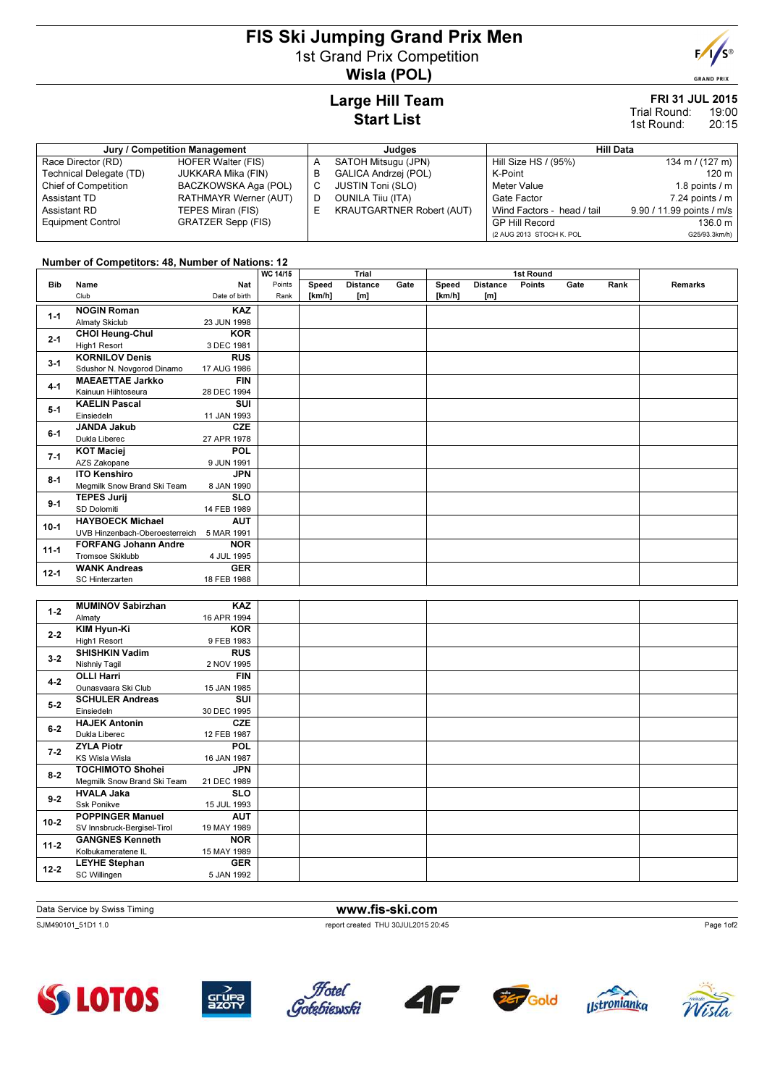# FIS Ski Jumping Grand Prix Men 1st Grand Prix Competition Wisla (POL)



**GRAND PRIX** 

### Large Hill Team Start List

#### FRI 31 JUL 2015 19:00 Trial Round:

20:15 1st Round:

| Jury / Competition Management |                       |   | Judges                           | Hill Data                  |                           |  |  |
|-------------------------------|-----------------------|---|----------------------------------|----------------------------|---------------------------|--|--|
| Race Director (RD)            | HOFER Walter (FIS)    | A | SATOH Mitsugu (JPN)              | Hill Size HS / (95%)       | 134 m / $(127 \text{ m})$ |  |  |
| Technical Delegate (TD)       | JUKKARA Mika (FIN)    | в | GALICA Andrzej (POL)             | K-Point                    | 120 m                     |  |  |
| <b>Chief of Competition</b>   | BACZKOWSKA Aga (POL)  |   | <b>JUSTIN Toni (SLO)</b>         | Meter Value                | 1.8 points $/m$           |  |  |
| Assistant TD                  | RATHMAYR Werner (AUT) | D | <b>OUNILA Tiju (ITA)</b>         | Gate Factor                | $7.24$ points $/ m$       |  |  |
| Assistant RD                  | TEPES Miran (FIS)     | ᄂ | <b>KRAUTGARTNER Robert (AUT)</b> | Wind Factors - head / tail | 9.90 / 11.99 points / m/s |  |  |
| <b>Equipment Control</b>      | GRATZER Sepp (FIS)    |   |                                  | <b>GP Hill Record</b>      | 136.0 m                   |  |  |
|                               |                       |   |                                  | (2 AUG 2013 STOCH K. POL   | G25/93.3km/h)             |  |  |

### Number of Competitors: 48, Number of Nations: 12

|            |                                |               | <b>WC 14/15</b> | Trial<br>1st Round |                 |      |        |                 |        |      |      |                |
|------------|--------------------------------|---------------|-----------------|--------------------|-----------------|------|--------|-----------------|--------|------|------|----------------|
| <b>Bib</b> | Name                           | Nat           | Points          | Speed              | <b>Distance</b> | Gate | Speed  | <b>Distance</b> | Points | Gate | Rank | <b>Remarks</b> |
|            | Club                           | Date of birth | Rank            | [km/h]             | [m]             |      | [km/h] | [m]             |        |      |      |                |
| $1 - 1$    | <b>NOGIN Roman</b>             | <b>KAZ</b>    |                 |                    |                 |      |        |                 |        |      |      |                |
|            | <b>Almaty Skiclub</b>          | 23 JUN 1998   |                 |                    |                 |      |        |                 |        |      |      |                |
| $2 - 1$    | <b>CHOI Heung-Chul</b>         | <b>KOR</b>    |                 |                    |                 |      |        |                 |        |      |      |                |
|            | High1 Resort                   | 3 DEC 1981    |                 |                    |                 |      |        |                 |        |      |      |                |
| $3 - 1$    | <b>KORNILOV Denis</b>          | <b>RUS</b>    |                 |                    |                 |      |        |                 |        |      |      |                |
|            | Sdushor N. Novgorod Dinamo     | 17 AUG 1986   |                 |                    |                 |      |        |                 |        |      |      |                |
| $4 - 1$    | <b>MAEAETTAE Jarkko</b>        | <b>FIN</b>    |                 |                    |                 |      |        |                 |        |      |      |                |
|            | Kainuun Hiihtoseura            | 28 DEC 1994   |                 |                    |                 |      |        |                 |        |      |      |                |
| $5 - 1$    | <b>KAELIN Pascal</b>           | <b>SUI</b>    |                 |                    |                 |      |        |                 |        |      |      |                |
|            | Einsiedeln                     | 11 JAN 1993   |                 |                    |                 |      |        |                 |        |      |      |                |
| $6-1$      | <b>JANDA Jakub</b>             | <b>CZE</b>    |                 |                    |                 |      |        |                 |        |      |      |                |
|            | Dukla Liberec                  | 27 APR 1978   |                 |                    |                 |      |        |                 |        |      |      |                |
| $7-1$      | <b>KOT Maciej</b>              | <b>POL</b>    |                 |                    |                 |      |        |                 |        |      |      |                |
|            | AZS Zakopane                   | 9 JUN 1991    |                 |                    |                 |      |        |                 |        |      |      |                |
| $8 - 1$    | <b>ITO Kenshiro</b>            | <b>JPN</b>    |                 |                    |                 |      |        |                 |        |      |      |                |
|            | Megmilk Snow Brand Ski Team    | 8 JAN 1990    |                 |                    |                 |      |        |                 |        |      |      |                |
| $9 - 1$    | <b>TEPES Jurij</b>             | <b>SLO</b>    |                 |                    |                 |      |        |                 |        |      |      |                |
|            | SD Dolomiti                    | 14 FEB 1989   |                 |                    |                 |      |        |                 |        |      |      |                |
| $10-1$     | <b>HAYBOECK Michael</b>        | <b>AUT</b>    |                 |                    |                 |      |        |                 |        |      |      |                |
|            | UVB Hinzenbach-Oberoesterreich | 5 MAR 1991    |                 |                    |                 |      |        |                 |        |      |      |                |
| $11 - 1$   | <b>FORFANG Johann Andre</b>    | <b>NOR</b>    |                 |                    |                 |      |        |                 |        |      |      |                |
|            | <b>Tromsoe Skiklubb</b>        | 4 JUL 1995    |                 |                    |                 |      |        |                 |        |      |      |                |
| $12 - 1$   | <b>WANK Andreas</b>            | <b>GER</b>    |                 |                    |                 |      |        |                 |        |      |      |                |
|            | SC Hinterzarten                | 18 FEB 1988   |                 |                    |                 |      |        |                 |        |      |      |                |
|            |                                |               |                 |                    |                 |      |        |                 |        |      |      |                |

| $1 - 2$  | <b>MUMINOV Sabirzhan</b>    | <b>KAZ</b>  |  |  |
|----------|-----------------------------|-------------|--|--|
|          | Almaty                      | 16 APR 1994 |  |  |
| $2 - 2$  | KIM Hyun-Ki                 | <b>KOR</b>  |  |  |
|          | High1 Resort                | 9 FEB 1983  |  |  |
| $3 - 2$  | <b>SHISHKIN Vadim</b>       | <b>RUS</b>  |  |  |
|          | Nishniy Tagil               | 2 NOV 1995  |  |  |
| $4 - 2$  | <b>OLLI Harri</b>           | <b>FIN</b>  |  |  |
|          | Ounasyaara Ski Club         | 15 JAN 1985 |  |  |
| $5 - 2$  | <b>SCHULER Andreas</b>      | SUI         |  |  |
|          | Einsiedeln                  | 30 DEC 1995 |  |  |
| $6-2$    | <b>HAJEK Antonin</b>        | <b>CZE</b>  |  |  |
|          | Dukla Liberec               | 12 FEB 1987 |  |  |
| $7 - 2$  | <b>ZYLA Piotr</b>           | <b>POL</b>  |  |  |
|          | KS Wisla Wisla              | 16 JAN 1987 |  |  |
| $8 - 2$  | <b>TOCHIMOTO Shohei</b>     | <b>JPN</b>  |  |  |
|          | Megmilk Snow Brand Ski Team | 21 DEC 1989 |  |  |
| $9 - 2$  | <b>HVALA Jaka</b>           | <b>SLO</b>  |  |  |
|          | <b>Ssk Ponikve</b>          | 15 JUL 1993 |  |  |
| $10 - 2$ | <b>POPPINGER Manuel</b>     | <b>AUT</b>  |  |  |
|          | SV Innsbruck-Bergisel-Tirol | 19 MAY 1989 |  |  |
| $11 - 2$ | <b>GANGNES Kenneth</b>      | <b>NOR</b>  |  |  |
|          | Kolbukameratene IL          | 15 MAY 1989 |  |  |
| $12 - 2$ | <b>LEYHE Stephan</b>        | <b>GER</b>  |  |  |
|          | SC Willingen                | 5 JAN 1992  |  |  |
|          |                             |             |  |  |

Data Service by Swiss Timing **www.fis-ski.com** 

SJM490101\_51D1 1.0 report created THU 30JUL2015 20:45













Page 1of2